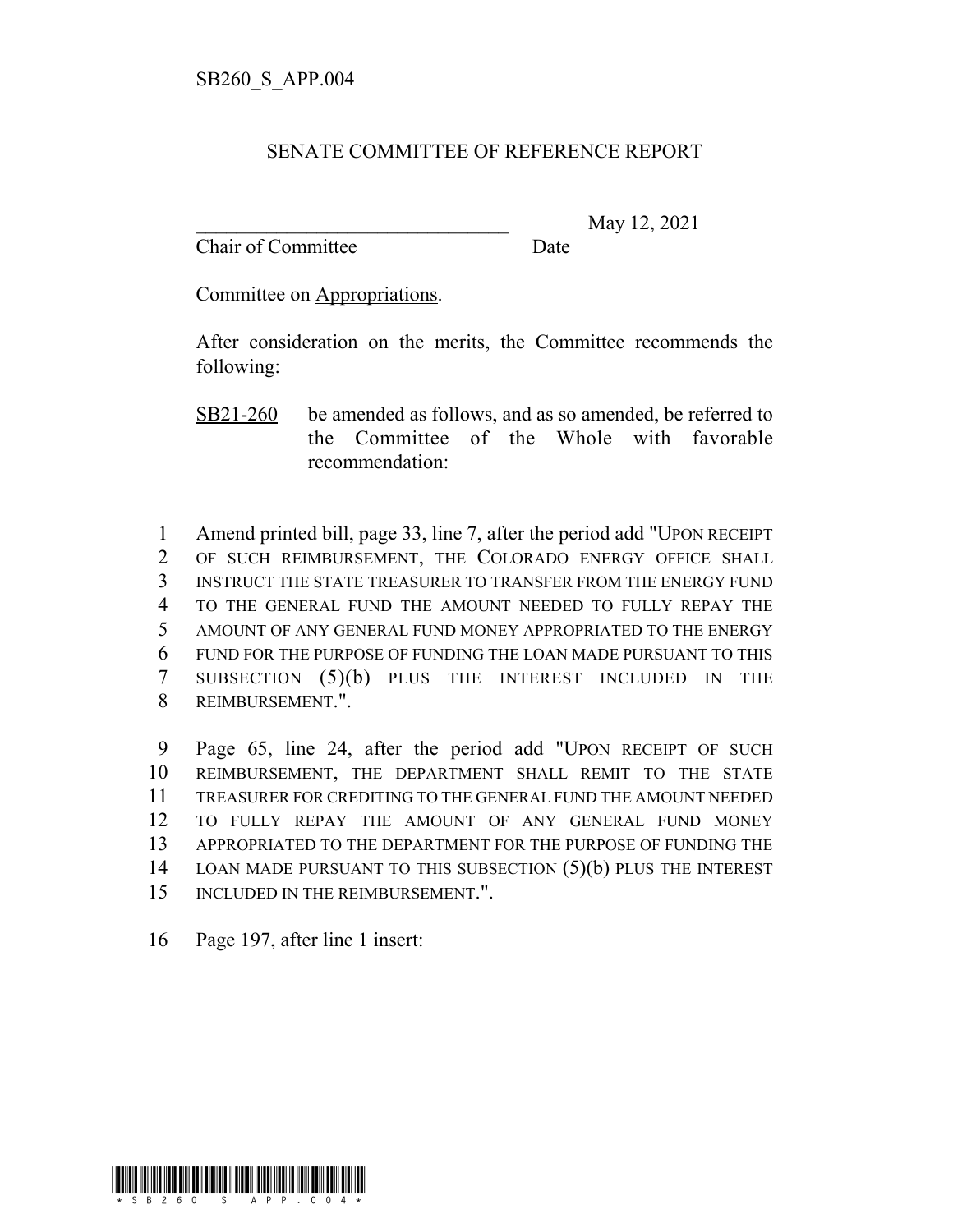## SENATE COMMITTEE OF REFERENCE REPORT

Chair of Committee Date

\_\_\_\_\_\_\_\_\_\_\_\_\_\_\_\_\_\_\_\_\_\_\_\_\_\_\_\_\_\_\_ May 12, 2021

Committee on Appropriations.

After consideration on the merits, the Committee recommends the following:

SB21-260 be amended as follows, and as so amended, be referred to the Committee of the Whole with favorable recommendation:

 Amend printed bill, page 33, line 7, after the period add "UPON RECEIPT OF SUCH REIMBURSEMENT, THE COLORADO ENERGY OFFICE SHALL INSTRUCT THE STATE TREASURER TO TRANSFER FROM THE ENERGY FUND TO THE GENERAL FUND THE AMOUNT NEEDED TO FULLY REPAY THE AMOUNT OF ANY GENERAL FUND MONEY APPROPRIATED TO THE ENERGY FUND FOR THE PURPOSE OF FUNDING THE LOAN MADE PURSUANT TO THIS SUBSECTION (5)(b) PLUS THE INTEREST INCLUDED IN THE REIMBURSEMENT.".

 Page 65, line 24, after the period add "UPON RECEIPT OF SUCH REIMBURSEMENT, THE DEPARTMENT SHALL REMIT TO THE STATE TREASURER FOR CREDITING TO THE GENERAL FUND THE AMOUNT NEEDED TO FULLY REPAY THE AMOUNT OF ANY GENERAL FUND MONEY APPROPRIATED TO THE DEPARTMENT FOR THE PURPOSE OF FUNDING THE 14 LOAN MADE PURSUANT TO THIS SUBSECTION (5)(b) PLUS THE INTEREST INCLUDED IN THE REIMBURSEMENT.".

16 Page 197, after line 1 insert:

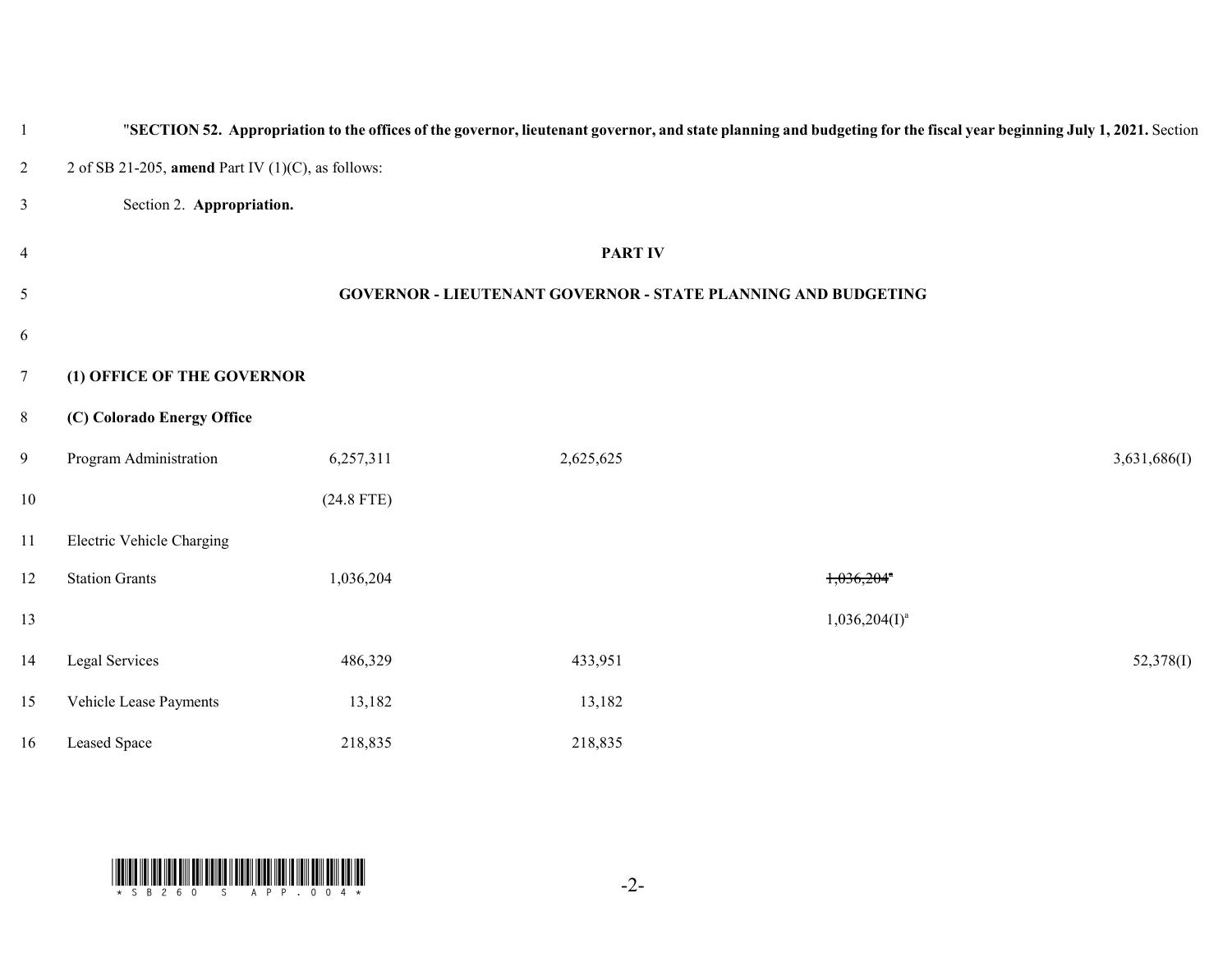|                         |                                                      |              |                                                                      | "SECTION 52. Appropriation to the offices of the governor, lieutenant governor, and state planning and budgeting for the fiscal year beginning July 1, 2021. Section |              |
|-------------------------|------------------------------------------------------|--------------|----------------------------------------------------------------------|----------------------------------------------------------------------------------------------------------------------------------------------------------------------|--------------|
| $\overline{\mathbf{c}}$ | 2 of SB 21-205, amend Part IV $(1)(C)$ , as follows: |              |                                                                      |                                                                                                                                                                      |              |
| 3                       | Section 2. Appropriation.                            |              |                                                                      |                                                                                                                                                                      |              |
| 4                       |                                                      |              | <b>PART IV</b>                                                       |                                                                                                                                                                      |              |
| 5                       |                                                      |              | <b>GOVERNOR - LIEUTENANT GOVERNOR - STATE PLANNING AND BUDGETING</b> |                                                                                                                                                                      |              |
| 6                       |                                                      |              |                                                                      |                                                                                                                                                                      |              |
| 7                       | (1) OFFICE OF THE GOVERNOR                           |              |                                                                      |                                                                                                                                                                      |              |
| 8                       | (C) Colorado Energy Office                           |              |                                                                      |                                                                                                                                                                      |              |
| 9                       | Program Administration                               | 6,257,311    | 2,625,625                                                            |                                                                                                                                                                      | 3,631,686(I) |
| $10\,$                  |                                                      | $(24.8$ FTE) |                                                                      |                                                                                                                                                                      |              |
| 11                      | Electric Vehicle Charging                            |              |                                                                      |                                                                                                                                                                      |              |
| 12                      | <b>Station Grants</b>                                | 1,036,204    |                                                                      | $1,036,204$ <sup>*</sup>                                                                                                                                             |              |
| 13                      |                                                      |              |                                                                      | $1,036,204(1)^a$                                                                                                                                                     |              |
| 14                      | Legal Services                                       | 486,329      | 433,951                                                              |                                                                                                                                                                      | 52,378(I)    |
| 15                      | Vehicle Lease Payments                               | 13,182       | 13,182                                                               |                                                                                                                                                                      |              |
| 16                      | Leased Space                                         | 218,835      | 218,835                                                              |                                                                                                                                                                      |              |

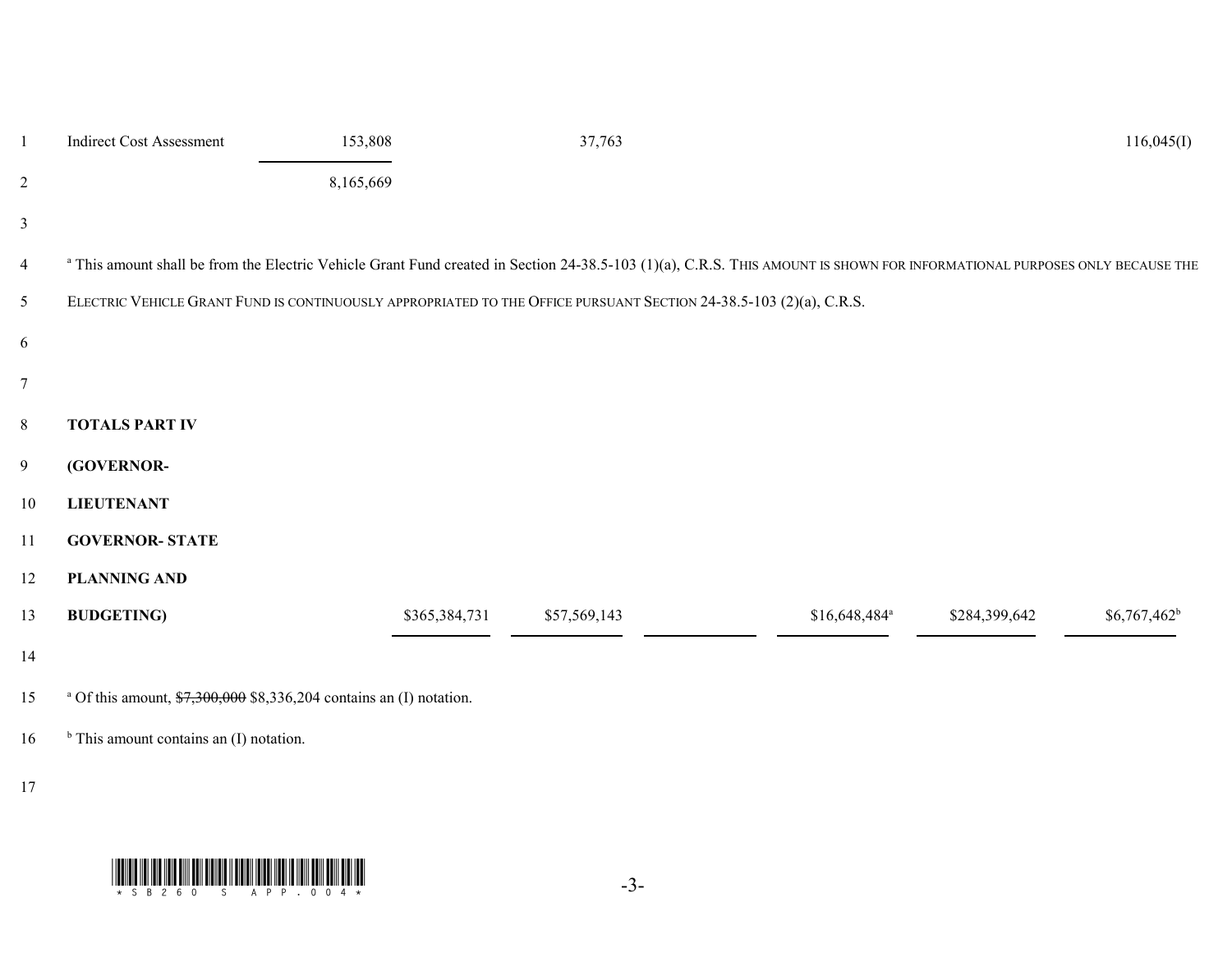| $\mathbf{1}$             | <b>Indirect Cost Assessment</b>                                                                    | 153,808       | 37,763                                                                                                                                                                                |                            |               | 116,045(I)     |
|--------------------------|----------------------------------------------------------------------------------------------------|---------------|---------------------------------------------------------------------------------------------------------------------------------------------------------------------------------------|----------------------------|---------------|----------------|
| $\overline{2}$           |                                                                                                    | 8,165,669     |                                                                                                                                                                                       |                            |               |                |
| $\mathfrak{Z}$           |                                                                                                    |               |                                                                                                                                                                                       |                            |               |                |
| $\overline{\mathcal{A}}$ |                                                                                                    |               | <sup>a</sup> This amount shall be from the Electric Vehicle Grant Fund created in Section 24-38.5-103 (1)(a), C.R.S. THIS AMOUNT IS SHOWN FOR INFORMATIONAL PURPOSES ONLY BECAUSE THE |                            |               |                |
| 5                        |                                                                                                    |               | ELECTRIC VEHICLE GRANT FUND IS CONTINUOUSLY APPROPRIATED TO THE OFFICE PURSUANT SECTION 24-38.5-103 (2)(a), C.R.S.                                                                    |                            |               |                |
| 6                        |                                                                                                    |               |                                                                                                                                                                                       |                            |               |                |
| $\boldsymbol{7}$         |                                                                                                    |               |                                                                                                                                                                                       |                            |               |                |
| 8                        | <b>TOTALS PART IV</b>                                                                              |               |                                                                                                                                                                                       |                            |               |                |
| $\overline{9}$           | (GOVERNOR-                                                                                         |               |                                                                                                                                                                                       |                            |               |                |
| 10                       | <b>LIEUTENANT</b>                                                                                  |               |                                                                                                                                                                                       |                            |               |                |
| 11                       | <b>GOVERNOR- STATE</b>                                                                             |               |                                                                                                                                                                                       |                            |               |                |
| 12                       | <b>PLANNING AND</b>                                                                                |               |                                                                                                                                                                                       |                            |               |                |
| 13                       | <b>BUDGETING</b> )                                                                                 | \$365,384,731 | \$57,569,143                                                                                                                                                                          | $$16,648,484$ <sup>a</sup> | \$284,399,642 | $$6,767,462^b$ |
| 14                       |                                                                                                    |               |                                                                                                                                                                                       |                            |               |                |
| 15                       | <sup>a</sup> Of this amount, $\frac{$7,300,000}{$7,300,000}$ \$8,336,204 contains an (I) notation. |               |                                                                                                                                                                                       |                            |               |                |
| 16                       | $b$ This amount contains an (I) notation.                                                          |               |                                                                                                                                                                                       |                            |               |                |

17

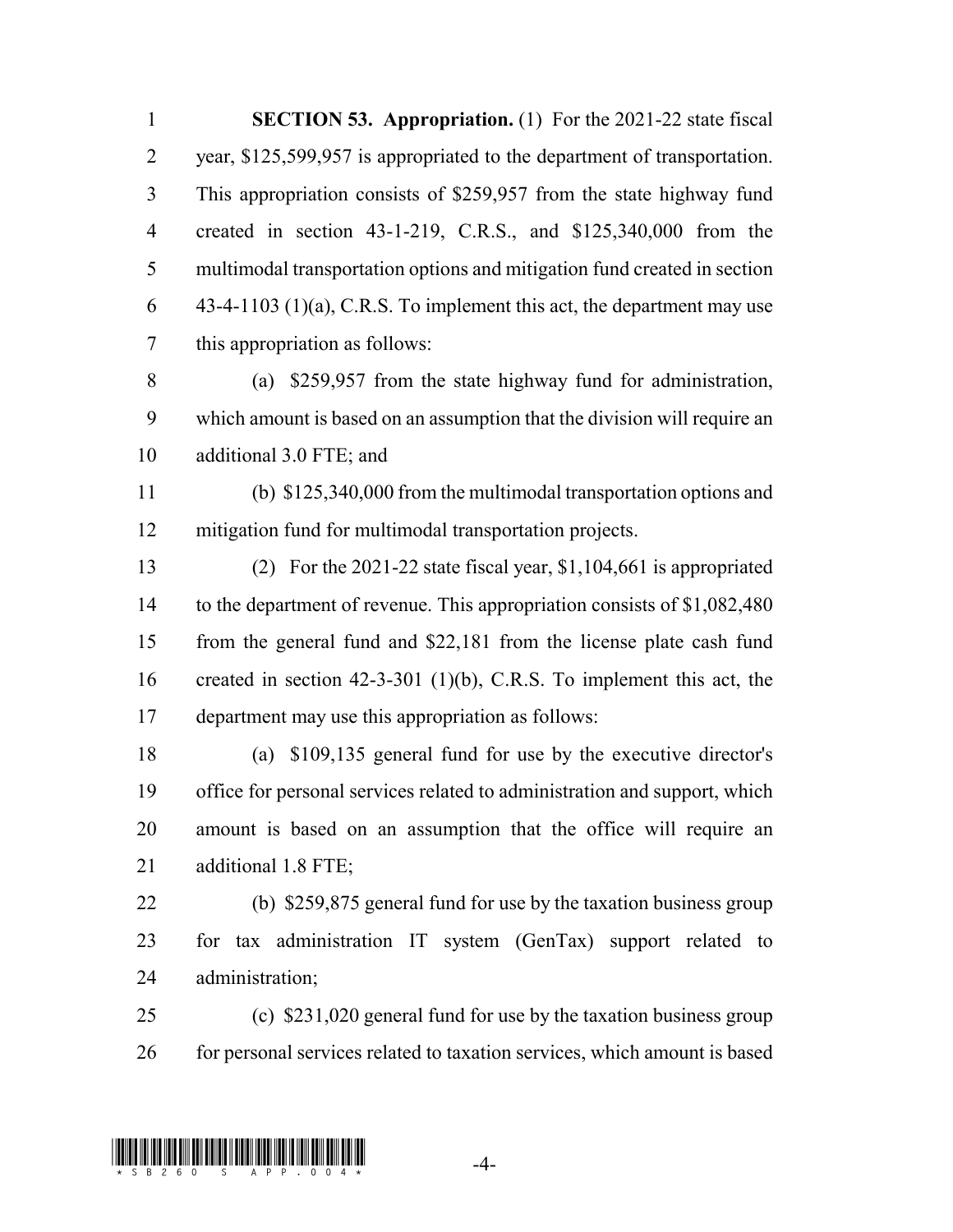**SECTION 53. Appropriation.** (1) For the 2021-22 state fiscal year, \$125,599,957 is appropriated to the department of transportation. This appropriation consists of \$259,957 from the state highway fund created in section 43-1-219, C.R.S., and \$125,340,000 from the multimodal transportation options and mitigation fund created in section  $\dot{q}$  43-4-1103 (1)(a), C.R.S. To implement this act, the department may use this appropriation as follows: (a) \$259,957 from the state highway fund for administration, which amount is based on an assumption that the division will require an additional 3.0 FTE; and (b) \$125,340,000 from the multimodal transportation options and mitigation fund for multimodal transportation projects. (2) For the 2021-22 state fiscal year, \$1,104,661 is appropriated 14 to the department of revenue. This appropriation consists of \$1,082,480 from the general fund and \$22,181 from the license plate cash fund

 created in section 42-3-301 (1)(b), C.R.S. To implement this act, the department may use this appropriation as follows:

 (a) \$109,135 general fund for use by the executive director's office for personal services related to administration and support, which amount is based on an assumption that the office will require an additional 1.8 FTE;

 (b) \$259,875 general fund for use by the taxation business group for tax administration IT system (GenTax) support related to administration;

 (c) \$231,020 general fund for use by the taxation business group 26 for personal services related to taxation services, which amount is based

## $\liminf_{\longrightarrow}$  .  $\liminf_{\longrightarrow}$  .  $\frac{1}{4}$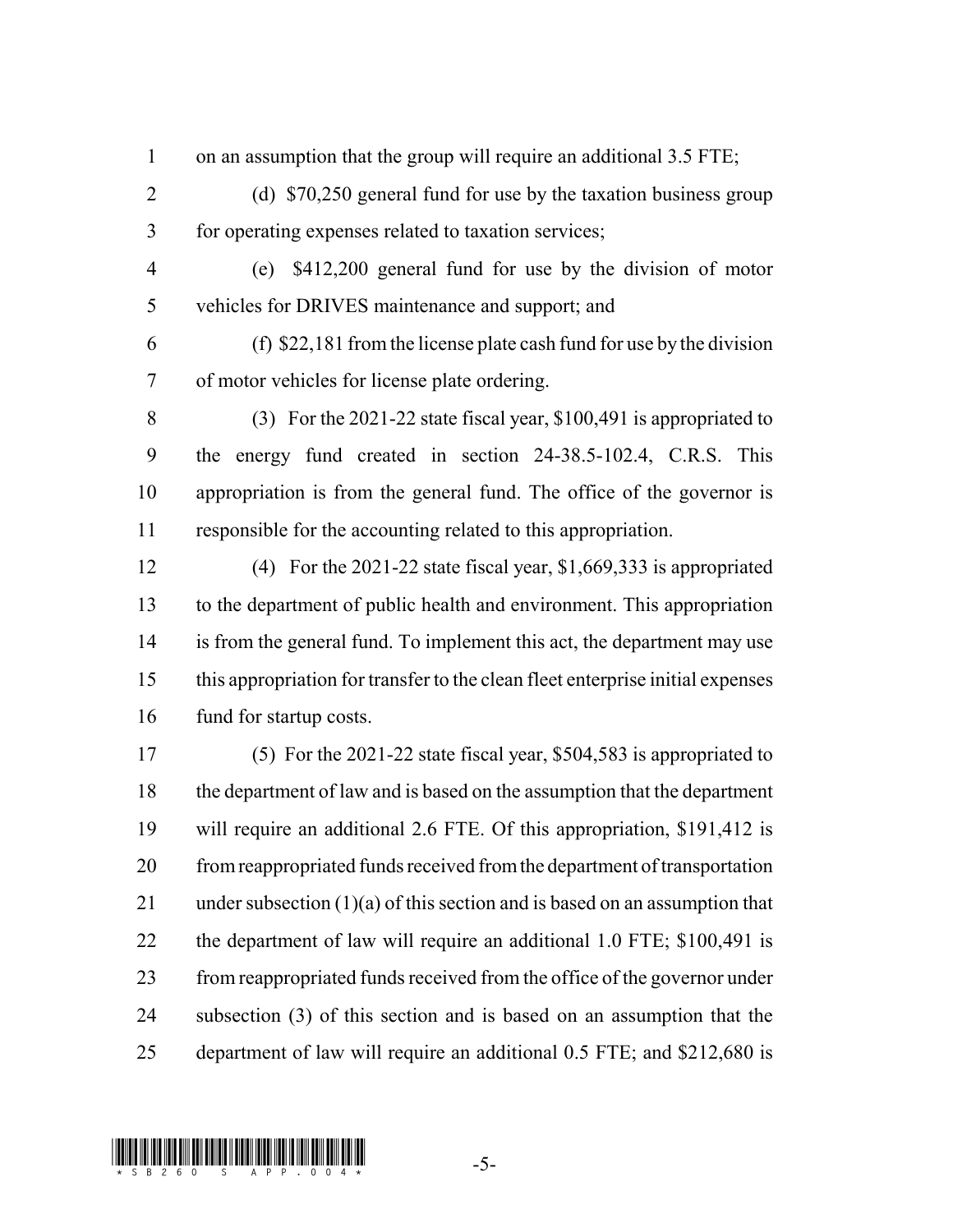- 1 on an assumption that the group will require an additional 3.5 FTE;
- 2 (d) \$70,250 general fund for use by the taxation business group for operating expenses related to taxation services;
- (e) \$412,200 general fund for use by the division of motor vehicles for DRIVES maintenance and support; and
- (f) \$22,181 from the license plate cash fund for use by the division of motor vehicles for license plate ordering.
- (3) For the 2021-22 state fiscal year, \$100,491 is appropriated to the energy fund created in section 24-38.5-102.4, C.R.S. This appropriation is from the general fund. The office of the governor is responsible for the accounting related to this appropriation.
- (4) For the 2021-22 state fiscal year, \$1,669,333 is appropriated to the department of public health and environment. This appropriation is from the general fund. To implement this act, the department may use this appropriation for transfer to the clean fleet enterprise initial expenses fund for startup costs.
- (5) For the 2021-22 state fiscal year, \$504,583 is appropriated to the department of law and is based on the assumption that the department will require an additional 2.6 FTE. Of this appropriation, \$191,412 is from reappropriated funds received from the department of transportation under subsection (1)(a) of this section and is based on an assumption that the department of law will require an additional 1.0 FTE; \$100,491 is from reappropriated funds received from the office of the governor under subsection (3) of this section and is based on an assumption that the department of law will require an additional 0.5 FTE; and \$212,680 is

## $\liminf_{n\to\infty}$  and  $\liminf_{n\to\infty}$  and  $\liminf_{n\to\infty}$  and  $\limsup_{n\to\infty}$